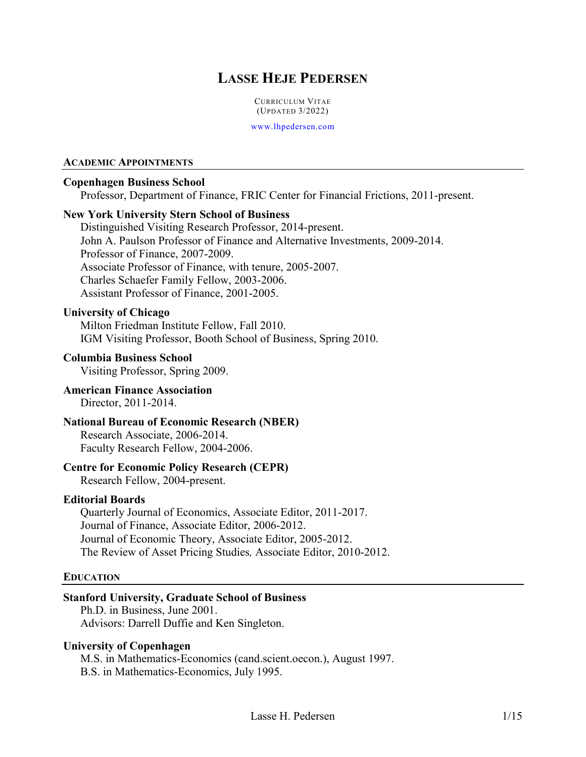# **LASSE HEJE PEDERSEN**

CURRICULUM VITAE (UPDATED 3/2022)

[www.lhpedersen.com](http://www.lhpedersen.com/)

#### **ACADEMIC APPOINTMENTS**

#### **Copenhagen Business School**

Professor, Department of Finance, FRIC Center for Financial Frictions, 2011-present.

#### **New York University Stern School of Business**

Distinguished Visiting Research Professor, 2014-present. John A. Paulson Professor of Finance and Alternative Investments, 2009-2014. Professor of Finance, 2007-2009. Associate Professor of Finance, with tenure, 2005-2007. Charles Schaefer Family Fellow, 2003-2006. Assistant Professor of Finance, 2001-2005.

### **University of Chicago**

Milton Friedman Institute Fellow, Fall 2010. IGM Visiting Professor, Booth School of Business, Spring 2010.

#### **Columbia Business School**

Visiting Professor, Spring 2009.

#### **American Finance Association** Director, 2011-2014.

### **National Bureau of Economic Research (NBER)**

Research Associate, 2006-2014. Faculty Research Fellow, 2004-2006.

#### **Centre for Economic Policy Research (CEPR)**

Research Fellow, 2004-present.

#### **Editorial Boards**

Quarterly Journal of Economics, Associate Editor, 2011-2017. Journal of Finance, Associate Editor, 2006-2012. Journal of Economic Theory, Associate Editor, 2005-2012. The Review of Asset Pricing Studies*,* Associate Editor, 2010-2012.

#### **EDUCATION**

#### **Stanford University, Graduate School of Business**

Ph.D. in Business, June 2001. Advisors: Darrell Duffie and Ken Singleton.

#### **University of Copenhagen**

M.S. in Mathematics-Economics (cand.scient.oecon.), August 1997. B.S. in Mathematics-Economics, July 1995.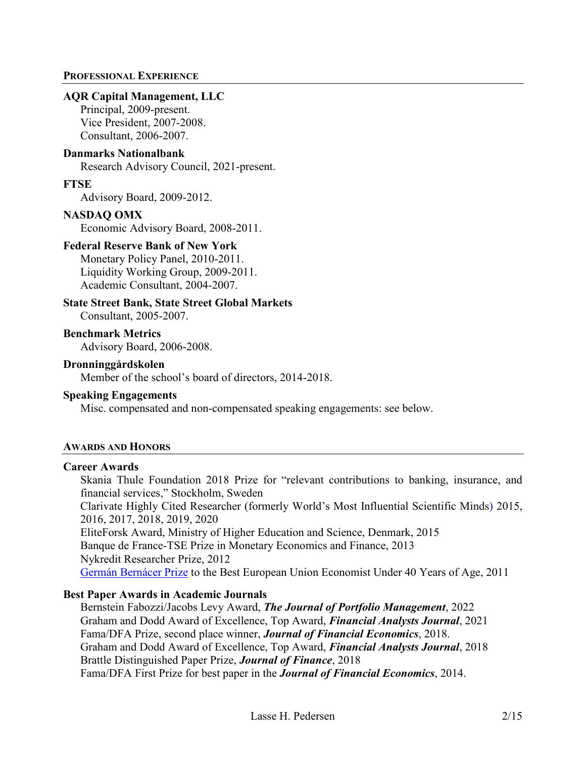#### **PROFESSIONAL EXPERIENCE**

#### **AQR Capital Management, LLC**

Principal, 2009-present. Vice President, 2007-2008. Consultant, 2006-2007.

#### **Danmarks Nationalbank**

Research Advisory Council, 2021-present.

#### **FTSE**

Advisory Board, 2009-2012.

#### **NASDAQ OMX**

Economic Advisory Board, 2008-2011.

#### **Federal Reserve Bank of New York**

Monetary Policy Panel, 2010-2011. Liquidity Working Group, 2009-2011. Academic Consultant, 2004-2007.

### **State Street Bank, State Street Global Markets**

Consultant, 2005-2007.

**Benchmark Metrics** Advisory Board, 2006-2008.

#### **Dronninggårdskolen**

Member of the school's board of directors, 2014-2018.

#### **Speaking Engagements**

Misc. compensated and non-compensated speaking engagements: see below.

### **AWARDS AND HONORS**

#### **Career Awards**

Skania Thule Foundation 2018 Prize for "relevant contributions to banking, insurance, and financial services," Stockholm, Sweden

Clarivate Highly Cited Researcher (formerly World's Most Influential Scientific Minds) 2015, 2016, 2017, 2018, 2019, 2020

EliteForsk Award, Ministry of Higher Education and Science, Denmark, 2015 Banque de France-TSE Prize in Monetary Economics and Finance, 2013 Nykredit Researcher Prize, 2012 [Germán Bernácer Prize](http://pages.stern.nyu.edu/%7Elpederse/pdfs/BERNACER.pdf) to the Best European Union Economist Under 40 Years of Age, 2011

### **Best Paper Awards in Academic Journals**

Bernstein Fabozzi/Jacobs Levy Award, *The Journal of Portfolio Management*, 2022 Graham and Dodd Award of Excellence, Top Award, *Financial Analysts Journal*, 2021 Fama/DFA Prize, second place winner, *Journal of Financial Economics*, 2018. Graham and Dodd Award of Excellence, Top Award, *Financial Analysts Journal*, 2018 Brattle Distinguished Paper Prize, *Journal of Finance*, 2018 Fama/DFA First Prize for best paper in the *Journal of Financial Economics*, 2014.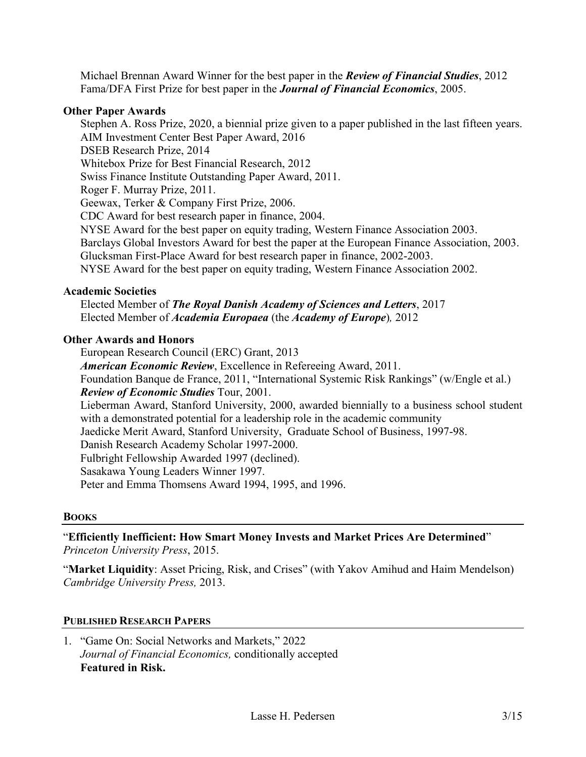Michael Brennan Award Winner for the best paper in the *Review of Financial Studies*, 2012 Fama/DFA First Prize for best paper in the *Journal of Financial Economics*, 2005.

### **Other Paper Awards**

Stephen A. Ross Prize, 2020, a biennial prize given to a paper published in the last fifteen years. AIM Investment Center Best Paper Award, 2016 DSEB Research Prize, 2014 Whitebox Prize for Best Financial Research, 2012 Swiss Finance Institute Outstanding Paper Award, 2011. Roger F. Murray Prize, 2011. Geewax, Terker & Company First Prize, 2006. CDC Award for best research paper in finance, 2004. NYSE Award for the best paper on equity trading, Western Finance Association 2003. Barclays Global Investors Award for best the paper at the European Finance Association, 2003. Glucksman First-Place Award for best research paper in finance, 2002-2003. NYSE Award for the best paper on equity trading, Western Finance Association 2002.

### **Academic Societies**

Elected Member of *The Royal Danish Academy of Sciences and Letters*, 2017 Elected Member of *Academia Europaea* (the *Academy of Europe*)*,* 2012

### **Other Awards and Honors**

European Research Council (ERC) Grant, 2013 *American Economic Review*, Excellence in Refereeing Award, 2011. Foundation Banque de France, 2011, "International Systemic Risk Rankings" (w/Engle et al.) *Review of Economic Studies* Tour, 2001. Lieberman Award, Stanford University, 2000, awarded biennially to a business school student with a demonstrated potential for a leadership role in the academic community Jaedicke Merit Award, Stanford University, Graduate School of Business, 1997-98. Danish Research Academy Scholar 1997-2000. Fulbright Fellowship Awarded 1997 (declined). Sasakawa Young Leaders Winner 1997. Peter and Emma Thomsens Award 1994, 1995, and 1996.

### **BOOKS**

"**Efficiently Inefficient: How Smart Money Invests and Market Prices Are Determined**" *Princeton University Press*, 2015.

"**Market Liquidity**: Asset Pricing, Risk, and Crises" (with Yakov Amihud and Haim Mendelson) *Cambridge University Press,* 2013.

### **PUBLISHED RESEARCH PAPERS**

1. "Game On: Social Networks and Markets," 2022 *Journal of Financial Economics,* conditionally accepted **Featured in Risk.**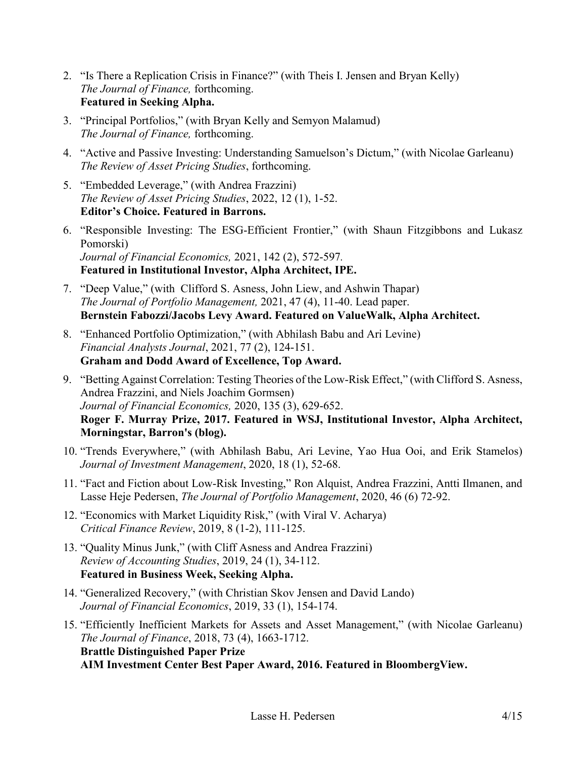- 2. "Is There a Replication Crisis in Finance?" (with Theis I. Jensen and Bryan Kelly) *The Journal of Finance,* forthcoming. **Featured in Seeking Alpha.**
- 3. "Principal Portfolios," (with Bryan Kelly and Semyon Malamud) *The Journal of Finance,* forthcoming.
- 4. "Active and Passive Investing: Understanding Samuelson's Dictum," (with Nicolae Garleanu) *The Review of Asset Pricing Studies*, forthcoming.
- 5. "Embedded Leverage," (with Andrea Frazzini) *The Review of Asset Pricing Studies*, 2022, 12 (1), 1-52. **Editor's Choice. Featured in [Barrons.](http://blogs.barrons.com/focusonfunds/2012/11/26/when-leverage-is-embedded-be-a-seller/?mod=BOLBlog)**
- 6. "Responsible Investing: The ESG-Efficient Frontier," (with Shaun Fitzgibbons and Lukasz Pomorski) *Journal of Financial Economics,* 2021, 142 (2), 572-597*.* **Featured in Institutional Investor, Alpha Architect, IPE.**
- 7. "Deep Value," (with Clifford S. Asness, John Liew, and Ashwin Thapar) *The Journal of Portfolio Management,* 2021, 47 (4), 11-40. Lead paper. **Bernstein Fabozzi/Jacobs Levy Award. Featured on ValueWalk, Alpha Architect.**
- 8. "Enhanced Portfolio Optimization," (with Abhilash Babu and Ari Levine) *Financial Analysts Journal*, 2021, 77 (2), 124-151. **Graham and Dodd Award of Excellence, Top Award.**
- 9. "Betting Against Correlation: Testing Theories of the Low-Risk Effect," (with Clifford S. Asness, Andrea Frazzini, and Niels Joachim Gormsen) *Journal of Financial Economics,* 2020, 135 (3), 629-652. **Roger F. Murray Prize, 2017. Featured in WSJ, Institutional Investor, Alpha Architect, Morningstar, Barron's (blog).**
- 10. "Trends Everywhere," (with Abhilash Babu, Ari Levine, Yao Hua Ooi, and Erik Stamelos) *Journal of Investment Management*, 2020, 18 (1), 52-68.
- 11. "Fact and Fiction about Low-Risk Investing," Ron Alquist, Andrea Frazzini, Antti Ilmanen, and Lasse Heje Pedersen, *The Journal of Portfolio Management*, 2020, 46 (6) 72-92.
- 12. "Economics with Market Liquidity Risk," (with Viral V. Acharya) *Critical Finance Review*, 2019, 8 (1-2), 111-125.
- 13. "Quality Minus Junk," (with Cliff Asness and Andrea Frazzini) *Review of Accounting Studies*, 2019, 24 (1), 34-112. **Featured in Business Week, Seeking Alpha.**
- 14. "Generalized Recovery," (with Christian Skov Jensen and David Lando) *Journal of Financial Economics*, 2019, 33 (1), 154-174.
- 15. "Efficiently Inefficient Markets for Assets and Asset Management," (with Nicolae Garleanu) *The Journal of Finance*, 2018, 73 (4), 1663-1712. **Brattle Distinguished Paper Prize AIM Investment Center Best Paper Award, 2016. Featured in BloombergView.**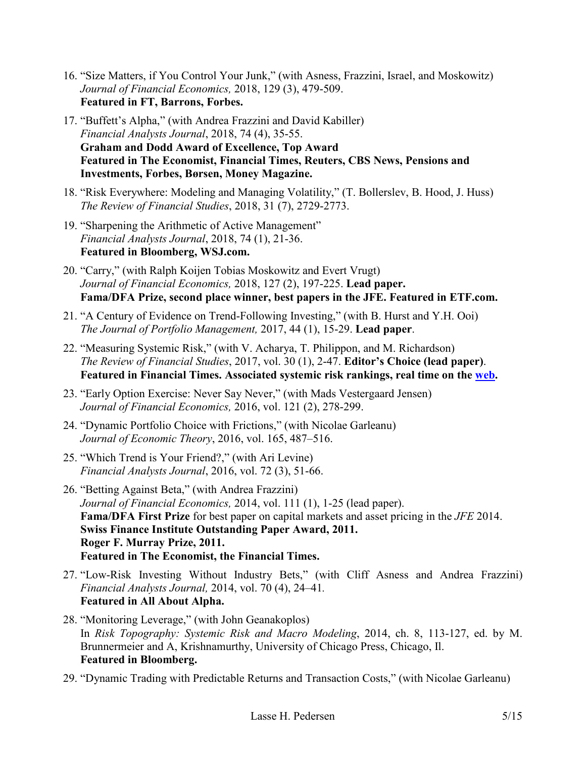- 16. "Size Matters, if You Control Your Junk," (with Asness, Frazzini, Israel, and Moskowitz) *Journal of Financial Economics,* 2018, 129 (3), 479-509. **Featured in FT, Barrons, Forbes.**
- 17. "Buffett's Alpha," (with Andrea Frazzini and David Kabiller) *Financial Analysts Journal*, 2018, 74 (4), 35-55. **Graham and Dodd Award of Excellence, Top Award Featured in The Economist, Financial Times, Reuters, CBS News, Pensions and Investments, Forbes, Børsen, Money Magazine.**
- 18. "Risk Everywhere: Modeling and Managing Volatility," (T. Bollerslev, B. Hood, J. Huss) *The Review of Financial Studies*, 2018, 31 (7), 2729-2773.
- 19. "Sharpening the Arithmetic of Active Management" *Financial Analysts Journal*, 2018, 74 (1), 21-36. **Featured in Bloomberg, WSJ.com.**
- 20. "Carry," (with Ralph Koijen Tobias Moskowitz and Evert Vrugt) *Journal of Financial Economics,* 2018, 127 (2), 197-225. **Lead paper. Fama/DFA Prize, second place winner, best papers in the JFE. Featured in ETF.com.**
- 21. "A Century of Evidence on Trend-Following Investing," (with B. Hurst and Y.H. Ooi) *The Journal of Portfolio Management,* 2017, 44 (1), 15-29. **Lead paper**.
- 22. "Measuring Systemic Risk," (with V. Acharya, T. Philippon, and M. Richardson) *The Review of Financial Studies*, 2017, vol. 30 (1), 2-47. **Editor's Choice (lead paper)**. **Featured in Financial Times. Associated systemic risk rankings, real time on the [web.](http://vlab.stern.nyu.edu/welcome/risk/)**
- 23. "Early Option Exercise: Never Say Never," (with Mads Vestergaard Jensen) *Journal of Financial Economics,* 2016, vol. 121 (2), 278-299.
- 24. "Dynamic Portfolio Choice with Frictions," (with Nicolae Garleanu) *Journal of Economic Theory*, 2016, vol. 165, 487–516.
- 25. "Which Trend is Your Friend?," (with Ari Levine) *Financial Analysts Journal*, 2016, vol. 72 (3), 51-66.
- 26. "Betting Against Beta," (with Andrea Frazzini) *Journal of Financial Economics,* 2014, vol. 111 (1), 1-25 (lead paper). **Fama/DFA First Prize** for best paper on capital markets and asset pricing in the *JFE* 2014. **Swiss Finance Institute Outstanding Paper Award, 2011. Roger F. Murray Prize, 2011. Featured in The Economist, the Financial Times.**
- 27. "Low-Risk Investing Without Industry Bets," (with Cliff Asness and Andrea Frazzini) *Financial Analysts Journal,* 2014, vol. 70 (4), 24–41*.* **Featured in All About Alpha.**
- 28. "Monitoring Leverage," (with John Geanakoplos) In *Risk Topography: Systemic Risk and Macro Modeling*, 2014, ch. 8, 113-127, ed. by M. Brunnermeier and A, Krishnamurthy, University of Chicago Press, Chicago, Il. **Featured in [Bloomberg.](http://blogs.barrons.com/focusonfunds/2012/11/26/when-leverage-is-embedded-be-a-seller/?mod=BOLBlog)**
- 29. "Dynamic Trading with Predictable Returns and Transaction Costs," (with Nicolae Garleanu)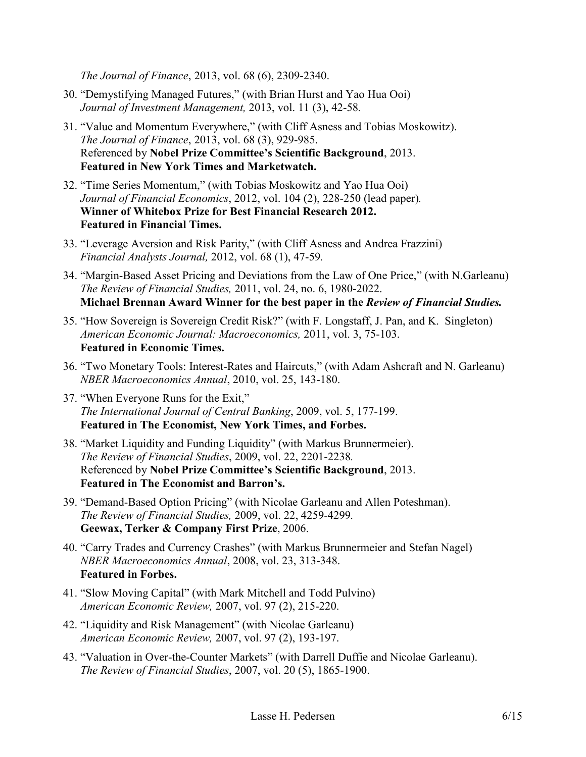*The Journal of Finance*, 2013, vol. 68 (6), 2309-2340.

- 30. "Demystifying Managed Futures," (with Brian Hurst and Yao Hua Ooi) *Journal of Investment Management,* 2013, vol. 11 (3), 42-58*.*
- 31. "Value and Momentum Everywhere," (with Cliff Asness and Tobias Moskowitz). *The Journal of Finance*, 2013, vol. 68 (3), 929-985. Referenced by **Nobel Prize Committee's Scientific Background**, 2013. **Featured in New York Times and Marketwatch.**
- 32. "Time Series Momentum," (with Tobias Moskowitz and Yao Hua Ooi) *Journal of Financial Economics*, 2012, vol. 104 (2), 228-250 (lead paper)*.* **Winner of Whitebox Prize for Best Financial Research 2012. Featured in Financial Times.**
- 33. "Leverage Aversion and Risk Parity," (with Cliff Asness and Andrea Frazzini) *Financial Analysts Journal,* 2012, vol. 68 (1), 47-59*.*
- 34. "Margin-Based Asset Pricing and Deviations from the Law of One Price," (with N.Garleanu) *The Review of Financial Studies,* 2011, vol. 24, no. 6, 1980-2022. **Michael Brennan Award Winner for the best paper in the** *Review of Financial Studies.*
- 35. "How Sovereign is Sovereign Credit Risk?" (with F. Longstaff, J. Pan, and K. Singleton) *American Economic Journal: Macroeconomics,* 2011, vol. 3, 75-103. **Featured in Economic Times.**
- 36. "Two Monetary Tools: Interest-Rates and Haircuts," (with Adam Ashcraft and N. Garleanu) *NBER Macroeconomics Annual*, 2010, vol. 25, 143-180.
- 37. "When Everyone Runs for the Exit," *The International Journal of Central Banking*, 2009, vol. 5, 177-199. **Featured in The Economist, New York Times, and Forbes.**
- 38. "Market Liquidity and Funding Liquidity" (with Markus Brunnermeier). *The Review of Financial Studies*, 2009, vol. 22, 2201-2238*.* Referenced by **Nobel Prize Committee's Scientific Background**, 2013. **Featured in The Economist and Barron's.**
- 39. "Demand-Based Option Pricing" (with Nicolae Garleanu and Allen Poteshman). *The Review of Financial Studies,* 2009, vol. 22, 4259-4299*.* **Geewax, Terker & Company First Prize**, 2006.
- 40. "Carry Trades and Currency Crashes" (with Markus Brunnermeier and Stefan Nagel) *NBER Macroeconomics Annual*, 2008, vol. 23, 313-348. **Featured in Forbes.**
- 41. "Slow Moving Capital" (with Mark Mitchell and Todd Pulvino) *American Economic Review,* 2007, vol. 97 (2), 215-220.
- 42. "Liquidity and Risk Management" (with Nicolae Garleanu) *American Economic Review,* 2007, vol. 97 (2), 193-197.
- 43. "Valuation in Over-the-Counter Markets" (with Darrell Duffie and Nicolae Garleanu). *The Review of Financial Studies*, 2007, vol. 20 (5), 1865-1900.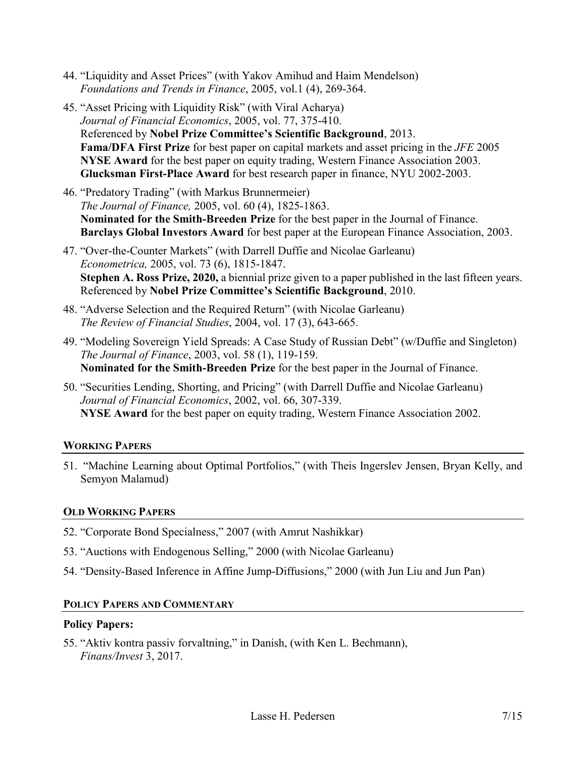- 44. "Liquidity and Asset Prices" (with Yakov Amihud and Haim Mendelson) *Foundations and Trends in Finance*, 2005, vol.1 (4), 269-364.
- 45. "Asset Pricing with Liquidity Risk" (with Viral Acharya) *Journal of Financial Economics*, 2005, vol. 77, 375-410. Referenced by **Nobel Prize Committee's Scientific Background**, 2013. **Fama/DFA First Prize** for best paper on capital markets and asset pricing in the *JFE* 2005 **NYSE Award** for the best paper on equity trading, Western Finance Association 2003. **Glucksman First-Place Award** for best research paper in finance, NYU 2002-2003.
- 46. "Predatory Trading" (with Markus Brunnermeier) *The Journal of Finance,* 2005, vol. 60 (4), 1825-1863. **Nominated for the Smith-Breeden Prize** for the best paper in the Journal of Finance. **Barclays Global Investors Award** for best paper at the European Finance Association, 2003.
- 47. "Over-the-Counter Markets" (with Darrell Duffie and Nicolae Garleanu) *Econometrica,* 2005, vol. 73 (6), 1815-1847. **Stephen A. Ross Prize, 2020,** a biennial prize given to a paper published in the last fifteen years. Referenced by **Nobel Prize Committee's Scientific Background**, 2010.
- 48. "Adverse Selection and the Required Return" (with Nicolae Garleanu) *The Review of Financial Studies*, 2004, vol. 17 (3), 643-665.
- 49. "Modeling Sovereign Yield Spreads: A Case Study of Russian Debt" (w/Duffie and Singleton) *The Journal of Finance*, 2003, vol. 58 (1), 119-159. **Nominated for the Smith-Breeden Prize** for the best paper in the Journal of Finance.
- 50. "Securities Lending, Shorting, and Pricing" (with Darrell Duffie and Nicolae Garleanu) *Journal of Financial Economics*, 2002, vol. 66, 307-339. **NYSE Award** for the best paper on equity trading, Western Finance Association 2002.

# **WORKING PAPERS**

51. "Machine Learning about Optimal Portfolios," (with Theis Ingerslev Jensen, Bryan Kelly, and Semyon Malamud)

# **OLD WORKING PAPERS**

- 52. "Corporate Bond Specialness," 2007 (with Amrut Nashikkar)
- 53. "Auctions with Endogenous Selling," 2000 (with Nicolae Garleanu)
- 54. "Density-Based Inference in Affine Jump-Diffusions," 2000 (with Jun Liu and Jun Pan)

# **POLICY PAPERS AND COMMENTARY**

# **Policy Papers:**

55. "Aktiv kontra passiv forvaltning," in Danish, (with Ken L. Bechmann), *Finans/Invest* 3, 2017.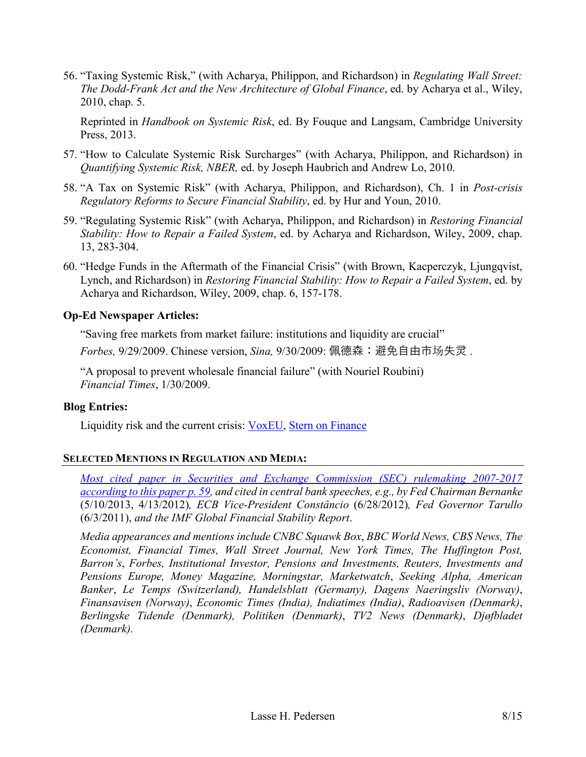56. "Taxing Systemic Risk," (with Acharya, Philippon, and Richardson) in *Regulating Wall Street: The Dodd-Frank Act and the New Architecture of Global Finance*, ed. by Acharya et al., Wiley, 2010, chap. 5.

Reprinted in *Handbook on Systemic Risk*, ed. By Fouque and Langsam, Cambridge University Press, 2013.

- 57. "How to Calculate Systemic Risk Surcharges" (with Acharya, Philippon, and Richardson) in *Quantifying Systemic Risk, NBER,* ed. by Joseph Haubrich and Andrew Lo, 2010.
- 58. "A Tax on Systemic Risk" (with Acharya, Philippon, and Richardson), Ch. 1 in *Post-crisis Regulatory Reforms to Secure Financial Stability*, ed. by Hur and Youn, 2010.
- 59. "Regulating Systemic Risk" (with Acharya, Philippon, and Richardson) in *Restoring Financial Stability: How to Repair a Failed System*, ed. by Acharya and Richardson, Wiley, 2009, chap. 13, 283-304.
- 60. "Hedge Funds in the Aftermath of the Financial Crisis" (with Brown, Kacperczyk, Ljungqvist, Lynch, and Richardson) in *Restoring Financial Stability: How to Repair a Failed System*, ed. by Acharya and Richardson, Wiley, 2009, chap. 6, 157-178.

# **Op-Ed Newspaper Articles:**

"Saving free markets from market failure: institutions and liquidity are crucial"

*Forbes,* 9/29/2009. Chinese version, *Sina,* 9/30/2009: 佩德森:避免自由市场失灵 .

"A proposal to prevent wholesale financial failure" (with Nouriel Roubini) *Financial Times*, 1/30/2009.

### **Blog Entries:**

Liquidity risk and the current crisis: [VoxEU,](http://www.voxeu.org/index.php?q=node/2566) [Stern on Finance](http://sternfinance.blogspot.com/2008/10/liquidity-risk-and-current-crisis-lasse.html)

# **SELECTED MENTIONS IN REGULATION AND MEDIA:**

*[Most cited paper in Securities and Exchange Commission \(SEC\) rulemaking 2007-2017](https://research.chicagobooth.edu/-/media/research/arc/docs/jar-annual-conference-papers/gl-conference-version.pdf)  [according to this paper p. 59,](https://research.chicagobooth.edu/-/media/research/arc/docs/jar-annual-conference-papers/gl-conference-version.pdf) and cited in central bank speeches, e.g., by Fed Chairman Bernanke*  (5/10/2013, 4/13/2012)*, ECB Vice-President Constâncio* (6/28/2012)*, Fed Governor Tarullo*  (6/3/2011), *and the IMF Global Financial Stability Report*.

*Media appearances and mentions include CNBC Squawk Box*, *BBC World News, CBS News, The Economist, Financial Times, Wall Street Journal, New York Times, The Huffington Post, Barron's*, *Forbes, Institutional Investor, Pensions and Investments, Reuters, Investments and Pensions Europe, Money Magazine, Morningstar, Marketwatch*, *Seeking Alpha, American Banker*, *Le Temps (Switzerland), Handelsblatt (Germany), Dagens Naeringsliv (Norway)*, *Finansavisen (Norway)*, *Economic Times (India), Indiatimes (India)*, *Radioavisen (Denmark)*, *Berlingske Tidende (Denmark), Politiken (Denmark)*, *TV2 News (Denmark)*, *Djøfbladet (Denmark).*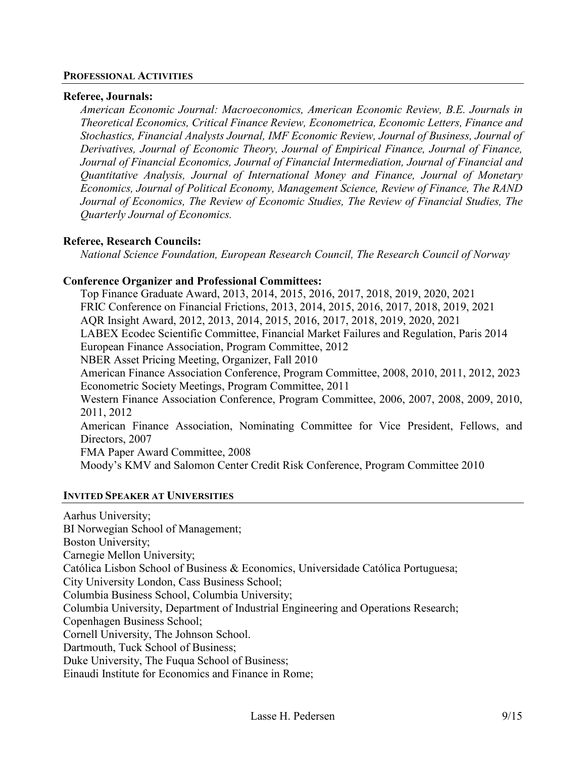#### **PROFESSIONAL ACTIVITIES**

#### **Referee, Journals:**

*American Economic Journal: Macroeconomics, American Economic Review, B.E. Journals in Theoretical Economics, Critical Finance Review, Econometrica, Economic Letters, Finance and Stochastics, Financial Analysts Journal, IMF Economic Review, Journal of Business, Journal of Derivatives, Journal of Economic Theory, Journal of Empirical Finance, Journal of Finance, Journal of Financial Economics, Journal of Financial Intermediation, Journal of Financial and Quantitative Analysis, Journal of International Money and Finance, Journal of Monetary Economics, Journal of Political Economy, Management Science, Review of Finance, The RAND Journal of Economics, The Review of Economic Studies, The Review of Financial Studies, The Quarterly Journal of Economics.* 

### **Referee, Research Councils:**

*National Science Foundation, European Research Council, The Research Council of Norway* 

### **Conference Organizer and Professional Committees:**

Top Finance Graduate Award, 2013, 2014, 2015, 2016, 2017, 2018, 2019, 2020, 2021 FRIC Conference on Financial Frictions, 2013, 2014, 2015, 2016, 2017, 2018, 2019, 2021 AQR Insight Award, 2012, 2013, 2014, 2015, 2016, 2017, 2018, 2019, 2020, 2021 LABEX Ecodec Scientific Committee, Financial Market Failures and Regulation, Paris 2014 European Finance Association, Program Committee, 2012 NBER Asset Pricing Meeting, Organizer, Fall 2010 American Finance Association Conference, Program Committee, 2008, 2010, 2011, 2012, 2023 Econometric Society Meetings, Program Committee, 2011 Western Finance Association Conference, Program Committee, 2006, 2007, 2008, 2009, 2010, 2011, 2012 American Finance Association, Nominating Committee for Vice President, Fellows, and Directors, 2007 FMA Paper Award Committee, 2008 Moody's KMV and Salomon Center Credit Risk Conference, Program Committee 2010

#### **INVITED SPEAKER AT UNIVERSITIES**

Aarhus University; BI Norwegian School of Management; Boston University; Carnegie Mellon University; Católica Lisbon School of Business & Economics, Universidade Católica Portuguesa; City University London, Cass Business School; Columbia Business School, Columbia University; Columbia University, Department of Industrial Engineering and Operations Research; Copenhagen Business School; Cornell University, The Johnson School. Dartmouth, Tuck School of Business; Duke University, The Fuqua School of Business; Einaudi Institute for Economics and Finance in Rome;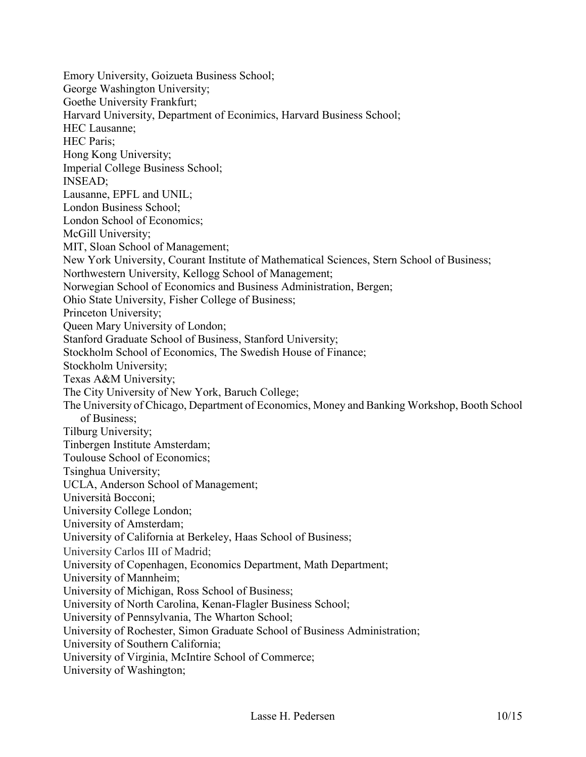Emory University, Goizueta Business School; George Washington University; Goethe University Frankfurt; Harvard University, Department of Econimics, Harvard Business School; HEC Lausanne; HEC Paris; Hong Kong University; Imperial College Business School; INSEAD; Lausanne, EPFL and UNIL; London Business School; London School of Economics; McGill University; MIT, Sloan School of Management; New York University, Courant Institute of Mathematical Sciences, Stern School of Business; Northwestern University, Kellogg School of Management; Norwegian School of Economics and Business Administration, Bergen; Ohio State University, Fisher College of Business; Princeton University; Queen Mary University of London; Stanford Graduate School of Business, Stanford University; Stockholm School of Economics, The Swedish House of Finance; Stockholm University; Texas A&M University; The City University of New York, Baruch College; The University of Chicago, Department of Economics, Money and Banking Workshop, Booth School of Business; Tilburg University; Tinbergen Institute Amsterdam; Toulouse School of Economics; Tsinghua University; UCLA, Anderson School of Management; Università Bocconi; University College London; University of Amsterdam; University of California at Berkeley, Haas School of Business; University Carlos III of Madrid; University of Copenhagen, Economics Department, Math Department; University of Mannheim; University of Michigan, Ross School of Business; University of North Carolina, Kenan-Flagler Business School; University of Pennsylvania, The Wharton School; University of Rochester, Simon Graduate School of Business Administration; University of Southern California; University of Virginia, McIntire School of Commerce; University of Washington;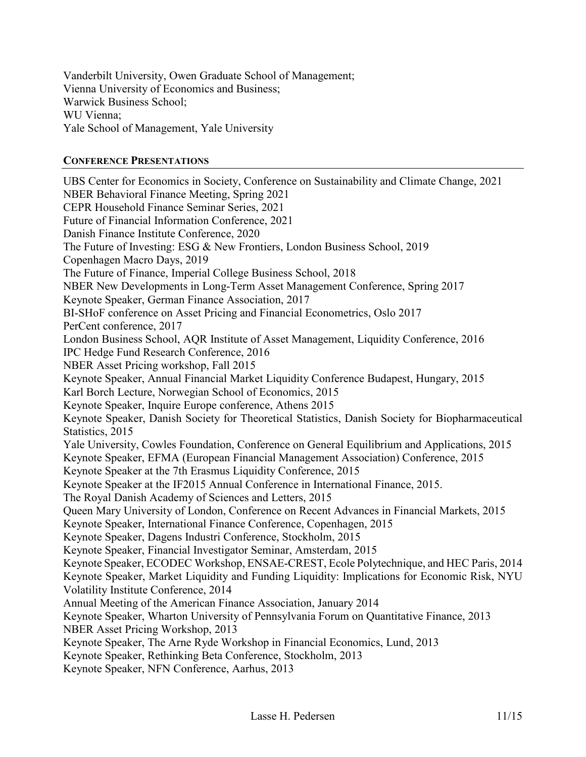Vanderbilt University, Owen Graduate School of Management; Vienna University of Economics and Business; Warwick Business School; WU Vienna; Yale School of Management, Yale University

### **CONFERENCE PRESENTATIONS**

UBS Center for Economics in Society, Conference on Sustainability and Climate Change, 2021 NBER Behavioral Finance Meeting, Spring 2021 CEPR Household Finance Seminar Series, 2021 Future of Financial Information Conference, 2021 Danish Finance Institute Conference, 2020 The Future of Investing: ESG & New Frontiers, London Business School, 2019 Copenhagen Macro Days, 2019 The Future of Finance, Imperial College Business School, 2018 NBER New Developments in Long-Term Asset Management Conference, Spring 2017 Keynote Speaker, German Finance Association, 2017 BI-SHoF conference on Asset Pricing and Financial Econometrics, Oslo 2017 PerCent conference, 2017 London Business School, AQR Institute of Asset Management, Liquidity Conference, 2016 IPC Hedge Fund Research Conference, 2016 NBER Asset Pricing workshop, Fall 2015 Keynote Speaker, Annual Financial Market Liquidity Conference Budapest, Hungary, 2015 Karl Borch Lecture, Norwegian School of Economics, 2015 Keynote Speaker, Inquire Europe conference, Athens 2015 Keynote Speaker, Danish Society for Theoretical Statistics, Danish Society for Biopharmaceutical Statistics, 2015 Yale University, Cowles Foundation, Conference on General Equilibrium and Applications, 2015 Keynote Speaker, EFMA (European Financial Management Association) Conference, 2015 Keynote Speaker at the 7th Erasmus Liquidity Conference, 2015 Keynote Speaker at the IF2015 Annual Conference in International Finance, 2015. The Royal Danish Academy of Sciences and Letters, 2015 Queen Mary University of London, Conference on Recent Advances in Financial Markets, 2015 Keynote Speaker, International Finance Conference, Copenhagen, 2015 Keynote Speaker, Dagens Industri Conference, Stockholm, 2015 Keynote Speaker, Financial Investigator Seminar, Amsterdam, 2015 Keynote Speaker, ECODEC Workshop, ENSAE-CREST, Ecole Polytechnique, and HEC Paris, 2014 Keynote Speaker, Market Liquidity and Funding Liquidity: Implications for Economic Risk, NYU Volatility Institute Conference, 2014 Annual Meeting of the American Finance Association, January 2014 Keynote Speaker, Wharton University of Pennsylvania Forum on Quantitative Finance, 2013 NBER Asset Pricing Workshop, 2013 Keynote Speaker, The Arne Ryde Workshop in Financial Economics, Lund, 2013 Keynote Speaker, Rethinking Beta Conference, Stockholm, 2013

Keynote Speaker, NFN Conference, Aarhus, 2013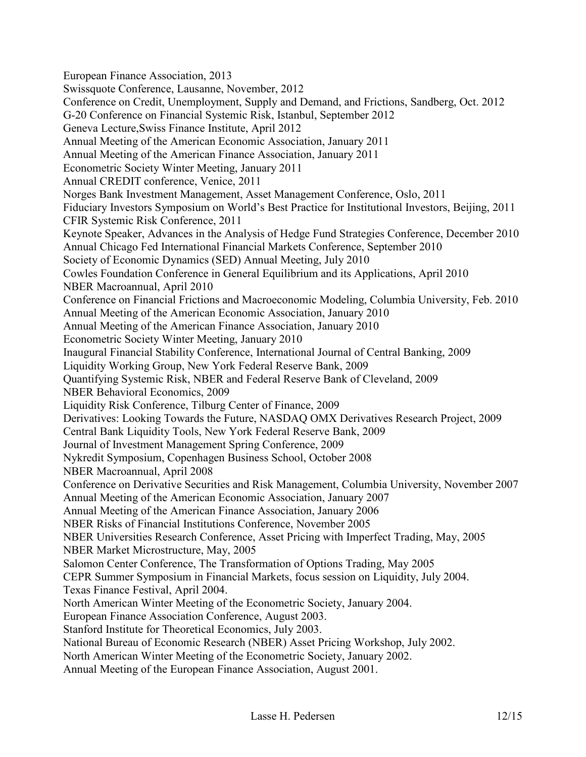European Finance Association, 2013 Swissquote Conference, Lausanne, November, 2012 Conference on Credit, Unemployment, Supply and Demand, and Frictions, Sandberg, Oct. 2012 G-20 Conference on Financial Systemic Risk, Istanbul, September 2012 Geneva Lecture,Swiss Finance Institute, April 2012 Annual Meeting of the American Economic Association, January 2011 Annual Meeting of the American Finance Association, January 2011 Econometric Society Winter Meeting, January 2011 Annual CREDIT conference, Venice, 2011 Norges Bank Investment Management, Asset Management Conference, Oslo, 2011 Fiduciary Investors Symposium on World's Best Practice for Institutional Investors, Beijing, 2011 CFIR Systemic Risk Conference, 2011 Keynote Speaker, Advances in the Analysis of Hedge Fund Strategies Conference, December 2010 Annual Chicago Fed International Financial Markets Conference, September 2010 Society of Economic Dynamics (SED) Annual Meeting, July 2010 Cowles Foundation Conference in General Equilibrium and its Applications, April 2010 NBER Macroannual, April 2010 Conference on Financial Frictions and Macroeconomic Modeling, Columbia University, Feb. 2010 Annual Meeting of the American Economic Association, January 2010 Annual Meeting of the American Finance Association, January 2010 Econometric Society Winter Meeting, January 2010 Inaugural Financial Stability Conference, International Journal of Central Banking, 2009 Liquidity Working Group, New York Federal Reserve Bank, 2009 Quantifying Systemic Risk, NBER and Federal Reserve Bank of Cleveland, 2009 NBER Behavioral Economics, 2009 Liquidity Risk Conference, Tilburg Center of Finance, 2009 Derivatives: Looking Towards the Future, NASDAQ OMX Derivatives Research Project, 2009 Central Bank Liquidity Tools, New York Federal Reserve Bank, 2009 Journal of Investment Management Spring Conference, 2009 Nykredit Symposium, Copenhagen Business School, October 2008 NBER Macroannual, April 2008 Conference on Derivative Securities and Risk Management, Columbia University, November 2007 Annual Meeting of the American Economic Association, January 2007 Annual Meeting of the American Finance Association, January 2006 NBER Risks of Financial Institutions Conference, November 2005 NBER Universities Research Conference, Asset Pricing with Imperfect Trading, May, 2005 NBER Market Microstructure, May, 2005 Salomon Center Conference, The Transformation of Options Trading, May 2005 CEPR Summer Symposium in Financial Markets, focus session on Liquidity, July 2004. Texas Finance Festival, April 2004. North American Winter Meeting of the Econometric Society, January 2004. European Finance Association Conference, August 2003. Stanford Institute for Theoretical Economics, July 2003. National Bureau of Economic Research (NBER) Asset Pricing Workshop, July 2002. North American Winter Meeting of the Econometric Society, January 2002.

Annual Meeting of the European Finance Association, August 2001.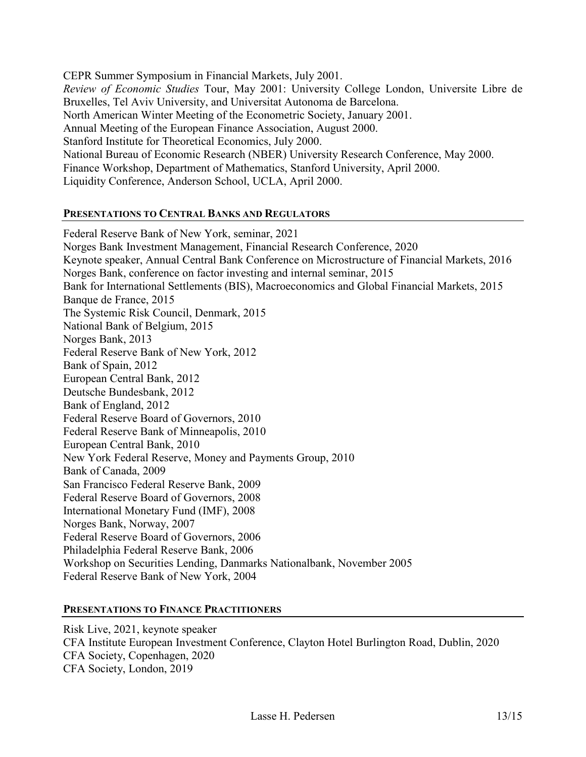CEPR Summer Symposium in Financial Markets, July 2001. *Review of Economic Studies* Tour, May 2001: University College London, Universite Libre de Bruxelles, Tel Aviv University, and Universitat Autonoma de Barcelona. North American Winter Meeting of the Econometric Society, January 2001. Annual Meeting of the European Finance Association, August 2000. Stanford Institute for Theoretical Economics, July 2000. National Bureau of Economic Research (NBER) University Research Conference, May 2000. Finance Workshop, Department of Mathematics, Stanford University, April 2000. Liquidity Conference, Anderson School, UCLA, April 2000.

### **PRESENTATIONS TO CENTRAL BANKS AND REGULATORS**

Federal Reserve Bank of New York, seminar, 2021 Norges Bank Investment Management, Financial Research Conference, 2020 Keynote speaker, Annual Central Bank Conference on Microstructure of Financial Markets, 2016 Norges Bank, conference on factor investing and internal seminar, 2015 Bank for International Settlements (BIS), Macroeconomics and Global Financial Markets, 2015 Banque de France, 2015 The Systemic Risk Council, Denmark, 2015 National Bank of Belgium, 2015 Norges Bank, 2013 Federal Reserve Bank of New York, 2012 Bank of Spain, 2012 European Central Bank, 2012 Deutsche Bundesbank, 2012 Bank of England, 2012 Federal Reserve Board of Governors, 2010 Federal Reserve Bank of Minneapolis, 2010 European Central Bank, 2010 New York Federal Reserve, Money and Payments Group, 2010 Bank of Canada, 2009 San Francisco Federal Reserve Bank, 2009 Federal Reserve Board of Governors, 2008 International Monetary Fund (IMF), 2008 Norges Bank, Norway, 2007 Federal Reserve Board of Governors, 2006 Philadelphia Federal Reserve Bank, 2006 Workshop on Securities Lending, Danmarks Nationalbank, November 2005 Federal Reserve Bank of New York, 2004

### **PRESENTATIONS TO FINANCE PRACTITIONERS**

Risk Live, 2021, keynote speaker CFA Institute European Investment Conference, Clayton Hotel Burlington Road, Dublin, 2020 CFA Society, Copenhagen, 2020 CFA Society, London, 2019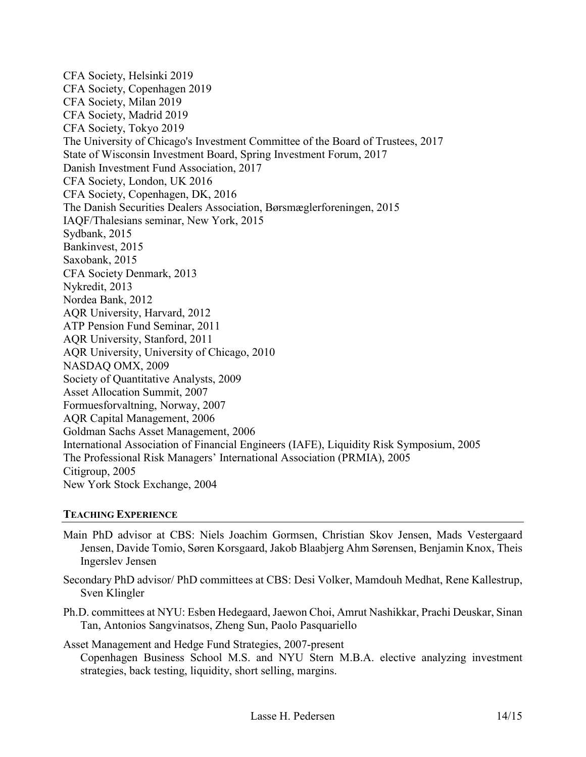CFA Society, Helsinki 2019 CFA Society, Copenhagen 2019 CFA Society, Milan 2019 CFA Society, Madrid 2019 CFA Society, Tokyo 2019 The University of Chicago's Investment Committee of the Board of Trustees, 2017 State of Wisconsin Investment Board, Spring Investment Forum, 2017 Danish Investment Fund Association, 2017 CFA Society, London, UK 2016 CFA Society, Copenhagen, DK, 2016 The Danish Securities Dealers Association, Børsmæglerforeningen, 2015 IAQF/Thalesians seminar, New York, 2015 Sydbank, 2015 Bankinvest, 2015 Saxobank, 2015 CFA Society Denmark, 2013 Nykredit, 2013 Nordea Bank, 2012 AQR University, Harvard, 2012 ATP Pension Fund Seminar, 2011 AQR University, Stanford, 2011 AQR University, University of Chicago, 2010 NASDAQ OMX, 2009 Society of Quantitative Analysts, 2009 Asset Allocation Summit, 2007 Formuesforvaltning, Norway, 2007 AQR Capital Management, 2006 Goldman Sachs Asset Management, 2006 International Association of Financial Engineers (IAFE), Liquidity Risk Symposium, 2005 The Professional Risk Managers' International Association (PRMIA), 2005 Citigroup, 2005 New York Stock Exchange, 2004

### **TEACHING EXPERIENCE**

- Main PhD advisor at CBS: Niels Joachim Gormsen, Christian Skov Jensen, Mads Vestergaard Jensen, Davide Tomio, Søren Korsgaard, Jakob Blaabjerg Ahm Sørensen, Benjamin Knox, Theis Ingerslev Jensen
- Secondary PhD advisor/ PhD committees at CBS: Desi Volker, Mamdouh Medhat, Rene Kallestrup, Sven Klingler
- Ph.D. committees at NYU: Esben Hedegaard, Jaewon Choi, Amrut Nashikkar, Prachi Deuskar, Sinan Tan, Antonios Sangvinatsos, Zheng Sun, Paolo Pasquariello

Asset Management and Hedge Fund Strategies, 2007-present

Copenhagen Business School M.S. and NYU Stern M.B.A. elective analyzing investment strategies, back testing, liquidity, short selling, margins.